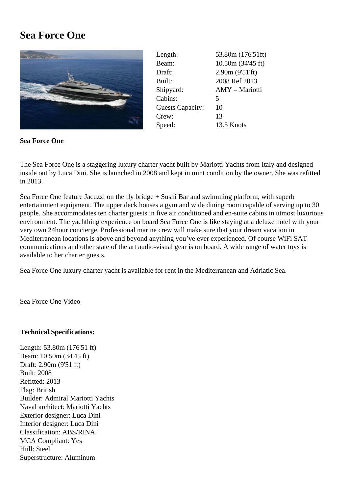## Sea Force One

| Length:                 | 53.80m (176'51ft)     |
|-------------------------|-----------------------|
| Beam:                   | 10.50m (34'45 ft)     |
| Draft:                  | 2.90m (9'51'ft)       |
| Built:                  | 2008 Ref 2013         |
| Shipyard:               | <b>AMY</b> - Mariotti |
| Cabins:                 | 5                     |
| <b>Guests Capacity:</b> | 10                    |
| Crew:                   | 13                    |
| Speed:                  | 13.5 Knots            |

Sea Force One

The Sea Force One is a staggering luxury charter yacht built by Mariotti Yachts from Italy and designed inside out by Luca Dini. She is launched in 2008 and kept in mint condition by the owner. She was refitted in 2013.

Sea Force One feature Jacuzzi on the fly bridge + Sushi Bar and swimming platform, with superb entertainment equipment. The upper deck houses a gym and wide dining room capable of serving up to 30 people. She accommodates ten charter guests in five air conditioned and en-suite cabins in utmost luxurious environment. The yachthing experience on board Sea Force One is like staying at a deluxe hotel with your very own 24hour concierge. Professional marine crew will make sure that your dream vacation in Mediterranean locations is above and beyond anything you've ever experienced. Of course WiFi SAT communications and other state of the art audio-visual gear is on board. A wide range of water toys is available to her charter guests.

Sea Force One luxury charter yacht is available for rent in the Mediterranean and Adriatic Sea.

Sea Force One Video

[Technical Specifica](https://www.youtube.com/watch?v=YLldzD6aJo8)tions:

Length: 53.80m (176'51 ft) Beam: 10.50m (34'45 ft) Draft: 2.90m (9'51 ft) Built: 2008 Refitted: 2013 Flag: British Builder: Admiral Mariotti Yachts Naval architect: Mariotti Yachts Exterior designer: Luca Dini Interior designer: Luca Dini Classification: ABS/RINA MCA Compliant: Yes Hull: Steel Superstructure: Aluminum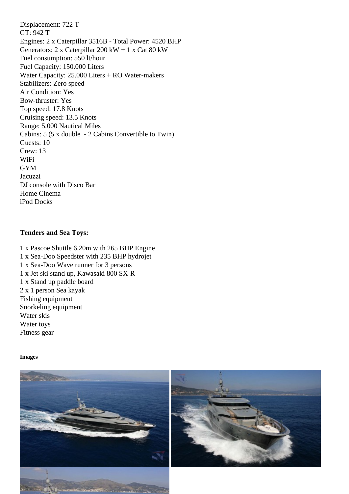GT: 942 T Engines: 2 x Caterpillar 3516B - Total Power: 4520 BHP Generators: 2 x Caterpillar 200 kW + 1 x Cat 80 kW Fuel consumption: 550 lt/hour Fuel Capacity: 150.000 Liters Water Capacity: 25.000 Liters + RO Water-makers Stabilizers: Zero speed Air Condition: Yes Bow-thruster: Yes Top speed: 17.8 Knots Cruising speed: 13.5 Knots Range: 5.000 Nautical Miles Cabins: 5 (5 x double - 2 Cabins Convertible to Twin) Guests: 10 Crew: 13 WiFi GYM Jacuzzi DJ console with Disco Bar Home Cinema iPod Docks

Tenders and Sea Toys:

1 x Pascoe Shuttle 6.20m with 265 BHP Engine 1 x Sea-Doo Speedster with 235 BHP hydrojet 1 x Sea-Doo Wave runner for 3 persons 1 x Jet ski stand up, Kawasaki 800 SX-R 1 x Stand up paddle board 2 x 1 person Sea kayak Fishing equipment Snorkeling equipment Water skis Water toys Fitness gear

Images